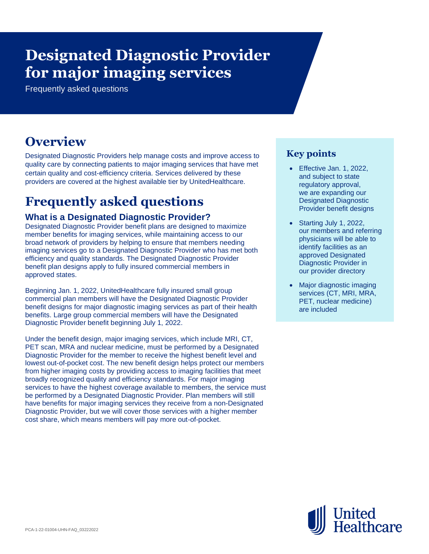# **Designated Diagnostic Provider for major imaging services**

Frequently asked questions

# **Overview**

Designated Diagnostic Providers help manage costs and improve access to quality care by connecting patients to major imaging services that have met certain quality and cost-efficiency criteria. Services delivered by these providers are covered at the highest available tier by UnitedHealthcare.

# **Frequently asked questions**

# **What is a Designated Diagnostic Provider?**

Designated Diagnostic Provider benefit plans are designed to maximize member benefits for imaging services, while maintaining access to our broad network of providers by helping to ensure that members needing imaging services go to a Designated Diagnostic Provider who has met both efficiency and quality standards. The Designated Diagnostic Provider benefit plan designs apply to fully insured commercial members in approved states.

Beginning Jan. 1, 2022, UnitedHealthcare fully insured small group commercial plan members will have the Designated Diagnostic Provider benefit designs for major diagnostic imaging services as part of their health benefits. Large group commercial members will have the Designated Diagnostic Provider benefit beginning July 1, 2022.

Under the benefit design, major imaging services, which include MRI, CT, PET scan, MRA and nuclear medicine, must be performed by a Designated Diagnostic Provider for the member to receive the highest benefit level and lowest out-of-pocket cost. The new benefit design helps protect our members from higher imaging costs by providing access to imaging facilities that meet broadly recognized quality and efficiency standards. For major imaging services to have the highest coverage available to members, the service must be performed by a Designated Diagnostic Provider. Plan members will still have benefits for major imaging services they receive from a non-Designated Diagnostic Provider, but we will cover those services with a higher member cost share, which means members will pay more out-of-pocket.

# **Key points**

- Effective Jan. 1, 2022, and subject to state regulatory approval, we are expanding our Designated Diagnostic Provider benefit designs
- Starting July 1, 2022, our members and referring physicians will be able to identify facilities as an approved Designated Diagnostic Provider in our provider directory
- Major diagnostic imaging services (CT, MRI, MRA, PET, nuclear medicine) are included

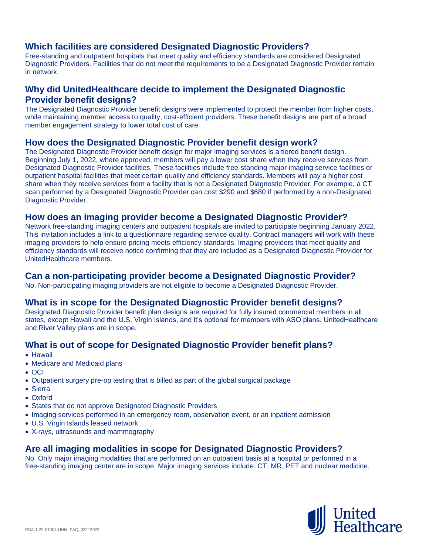# **Which facilities are considered Designated Diagnostic Providers?**

Free-standing and outpatient hospitals that meet quality and efficiency standards are considered Designated Diagnostic Providers. Facilities that do not meet the requirements to be a Designated Diagnostic Provider remain in network.

# **Why did UnitedHealthcare decide to implement the Designated Diagnostic Provider benefit designs?**

The Designated Diagnostic Provider benefit designs were implemented to protect the member from higher costs, while maintaining member access to quality, cost-efficient providers. These benefit designs are part of a broad member engagement strategy to lower total cost of care.

# **How does the Designated Diagnostic Provider benefit design work?**

The Designated Diagnostic Provider benefit design for major imaging services is a tiered benefit design. Beginning July 1, 2022, where approved, members will pay a lower cost share when they receive services from Designated Diagnostic Provider facilities. These facilities include free-standing major imaging service facilities or outpatient hospital facilities that meet certain quality and efficiency standards. Members will pay a higher cost share when they receive services from a facility that is not a Designated Diagnostic Provider. For example, a CT scan performed by a Designated Diagnostic Provider can cost \$290 and \$680 if performed by a non-Designated Diagnostic Provider.

#### **How does an imaging provider become a Designated Diagnostic Provider?**

Network free-standing imaging centers and outpatient hospitals are invited to participate beginning January 2022. This invitation includes a link to a questionnaire regarding service quality. Contract managers will work with these imaging providers to help ensure pricing meets efficiency standards. Imaging providers that meet quality and efficiency standards will receive notice confirming that they are included as a Designated Diagnostic Provider for UnitedHealthcare members.

#### **Can a non-participating provider become a Designated Diagnostic Provider?**

No. Non-participating imaging providers are not eligible to become a Designated Diagnostic Provider.

# **What is in scope for the Designated Diagnostic Provider benefit designs?**

Designated Diagnostic Provider benefit plan designs are required for fully insured commercial members in all states, except Hawaii and the U.S. Virgin Islands, and it's optional for members with ASO plans. UnitedHealthcare and River Valley plans are in scope.

# **What is out of scope for Designated Diagnostic Provider benefit plans?**

- Hawaii
- Medicare and Medicaid plans
- OCI
- Outpatient surgery pre-op testing that is billed as part of the global surgical package
- Sierra
- Oxford
- States that do not approve Designated Diagnostic Providers
- Imaging services performed in an emergency room, observation event, or an inpatient admission
- U.S. Virgin Islands leased network
- X-rays, ultrasounds and mammography

# **Are all imaging modalities in scope for Designated Diagnostic Providers?**

No. Only major imaging modalities that are performed on an outpatient basis at a hospital or performed in a free-standing imaging center are in scope. Major imaging services include: CT, MR, PET and nuclear medicine.